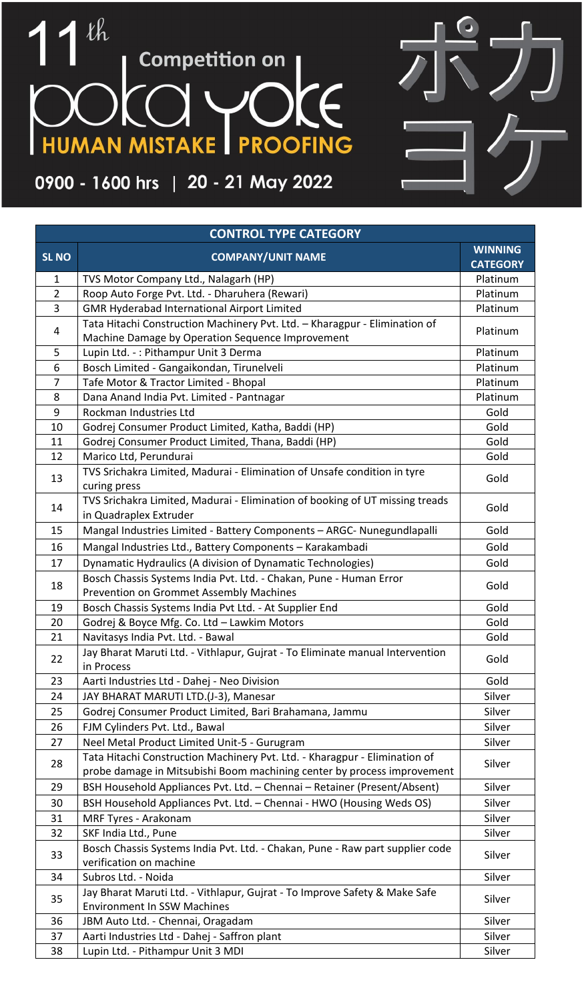## $\ell$ h 1 **Competition on | HUMAN MISTAKE | PROOFING** I

## 0900 - 1600 hrs | 20 - 21 May 2022

| <b>CONTROL TYPE CATEGORY</b> |                                                                                                                                                       |                                   |  |  |
|------------------------------|-------------------------------------------------------------------------------------------------------------------------------------------------------|-----------------------------------|--|--|
| <b>SL NO</b>                 | <b>COMPANY/UNIT NAME</b>                                                                                                                              | <b>WINNING</b><br><b>CATEGORY</b> |  |  |
| $\mathbf{1}$                 | TVS Motor Company Ltd., Nalagarh (HP)                                                                                                                 | Platinum                          |  |  |
| $\overline{2}$               | Roop Auto Forge Pvt. Ltd. - Dharuhera (Rewari)                                                                                                        | Platinum                          |  |  |
| 3                            | <b>GMR Hyderabad International Airport Limited</b>                                                                                                    | Platinum                          |  |  |
| 4                            | Tata Hitachi Construction Machinery Pvt. Ltd. - Kharagpur - Elimination of<br>Machine Damage by Operation Sequence Improvement                        | Platinum                          |  |  |
| 5                            | Lupin Ltd. -: Pithampur Unit 3 Derma                                                                                                                  | Platinum                          |  |  |
| 6                            | Bosch Limited - Gangaikondan, Tirunelveli                                                                                                             | Platinum                          |  |  |
| 7                            | Tafe Motor & Tractor Limited - Bhopal                                                                                                                 | Platinum                          |  |  |
| 8                            | Dana Anand India Pvt. Limited - Pantnagar                                                                                                             | Platinum                          |  |  |
| 9                            | Rockman Industries Ltd                                                                                                                                | Gold                              |  |  |
| 10                           | Godrej Consumer Product Limited, Katha, Baddi (HP)                                                                                                    | Gold                              |  |  |
| 11                           | Godrej Consumer Product Limited, Thana, Baddi (HP)                                                                                                    | Gold                              |  |  |
| 12                           | Marico Ltd, Perundurai                                                                                                                                | Gold                              |  |  |
| 13                           | TVS Srichakra Limited, Madurai - Elimination of Unsafe condition in tyre<br>curing press                                                              | Gold                              |  |  |
| 14                           | TVS Srichakra Limited, Madurai - Elimination of booking of UT missing treads<br>in Quadraplex Extruder                                                | Gold                              |  |  |
| 15                           | Mangal Industries Limited - Battery Components - ARGC- Nunegundlapalli                                                                                | Gold                              |  |  |
| 16                           | Mangal Industries Ltd., Battery Components - Karakambadi                                                                                              | Gold                              |  |  |
| 17                           | Dynamatic Hydraulics (A division of Dynamatic Technologies)                                                                                           | Gold                              |  |  |
|                              | Bosch Chassis Systems India Pvt. Ltd. - Chakan, Pune - Human Error                                                                                    |                                   |  |  |
| 18                           | Prevention on Grommet Assembly Machines                                                                                                               | Gold                              |  |  |
| 19                           | Bosch Chassis Systems India Pvt Ltd. - At Supplier End                                                                                                | Gold                              |  |  |
| 20                           | Godrej & Boyce Mfg. Co. Ltd - Lawkim Motors                                                                                                           | Gold                              |  |  |
| 21                           | Navitasys India Pvt. Ltd. - Bawal                                                                                                                     | Gold                              |  |  |
| 22                           | Jay Bharat Maruti Ltd. - Vithlapur, Gujrat - To Eliminate manual Intervention<br>in Process                                                           | Gold                              |  |  |
| 23                           | Aarti Industries Ltd - Dahej - Neo Division                                                                                                           | Gold                              |  |  |
| 24                           | JAY BHARAT MARUTI LTD.(J-3), Manesar                                                                                                                  | Silver                            |  |  |
| 25                           | Godrej Consumer Product Limited, Bari Brahamana, Jammu                                                                                                | Silver                            |  |  |
| 26                           | FJM Cylinders Pvt. Ltd., Bawal                                                                                                                        | Silver                            |  |  |
| 27                           | Neel Metal Product Limited Unit-5 - Gurugram                                                                                                          | Silver                            |  |  |
| 28                           | Tata Hitachi Construction Machinery Pvt. Ltd. - Kharagpur - Elimination of<br>probe damage in Mitsubishi Boom machining center by process improvement | Silver                            |  |  |
| 29                           | BSH Household Appliances Pvt. Ltd. - Chennai - Retainer (Present/Absent)                                                                              | Silver                            |  |  |
| 30                           | BSH Household Appliances Pvt. Ltd. - Chennai - HWO (Housing Weds OS)                                                                                  | Silver                            |  |  |
| 31                           | MRF Tyres - Arakonam                                                                                                                                  | Silver                            |  |  |
| 32                           | SKF India Ltd., Pune                                                                                                                                  | Silver                            |  |  |
| 33                           | Bosch Chassis Systems India Pvt. Ltd. - Chakan, Pune - Raw part supplier code<br>verification on machine                                              | Silver                            |  |  |
| 34                           | Subros Ltd. - Noida                                                                                                                                   | Silver                            |  |  |
| 35                           | Jay Bharat Maruti Ltd. - Vithlapur, Gujrat - To Improve Safety & Make Safe<br><b>Environment In SSW Machines</b>                                      | Silver                            |  |  |
| 36                           | JBM Auto Ltd. - Chennai, Oragadam                                                                                                                     | Silver                            |  |  |
| 37                           | Aarti Industries Ltd - Dahej - Saffron plant                                                                                                          | Silver                            |  |  |
| 38                           | Lupin Ltd. - Pithampur Unit 3 MDI                                                                                                                     | Silver                            |  |  |